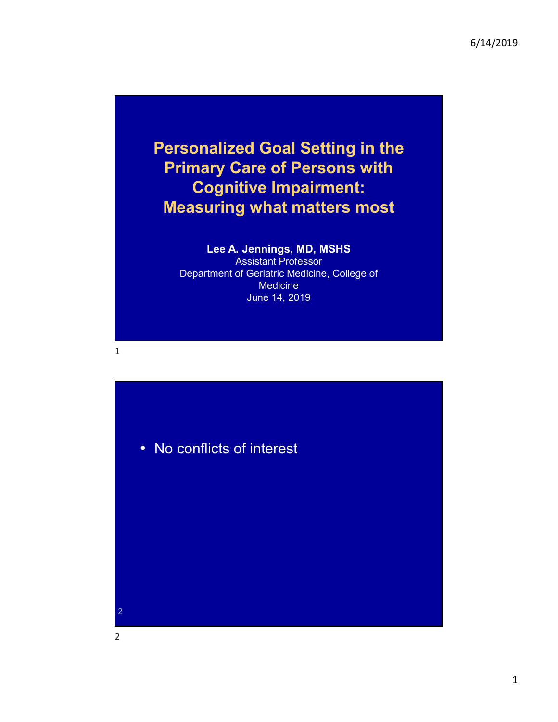#### Personalized Goal Setting in the Primary Care of Persons with Cognitive Impairment: Measuring what matters most

#### Lee A. Jennings, MD, MSHS

Assistant Professor Department of Geriatric Medicine, College of **Medicine** June 14, 2019

 $1$ 



2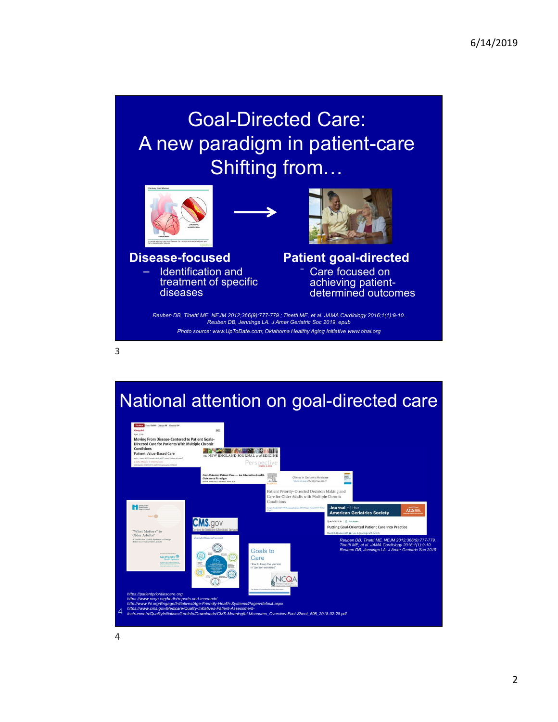# Goal-Directed Care: A new paradigm in patient-care Shifting from…  $\begin{array}{lcl} \text{parallel-Directed Care:} \ \text{Shifting from} & \text{in patient-care} \ \text{Shifting from} & \text{in} & \text{in} \ \text{Bhlifting from} & \text{in} & \text{in} \ \text{Bhlifting and} & \text{in} & \text{in} \ \text{in} & \text{in} & \text{in} \ \text{in} & \text{in} & \text{in} \ \text{in} & \text{in} & \text{in} & \text{in} \ \text{in} & \text{in} & \text{in} & \text{in} \ \text{in} & \text{in} & \text{in} & \text{in} \ \text{in} & \text{in} & \$



Identification and treatment of specific diseases

3



#### Disease-focused Patient goal-directed Care focused on achieving patientdetermined outcomes

Reuben DB, Tinetti ME. NEJM 2012;366(9):777-779.; Tinetti ME, et al. JAMA Cardiology 2016;1(1):9-10.

Photo source: www.UpToDate.com; Oklahoma Healthy Aging Initiative www.ohai.org

#### National attention on goal-directed care

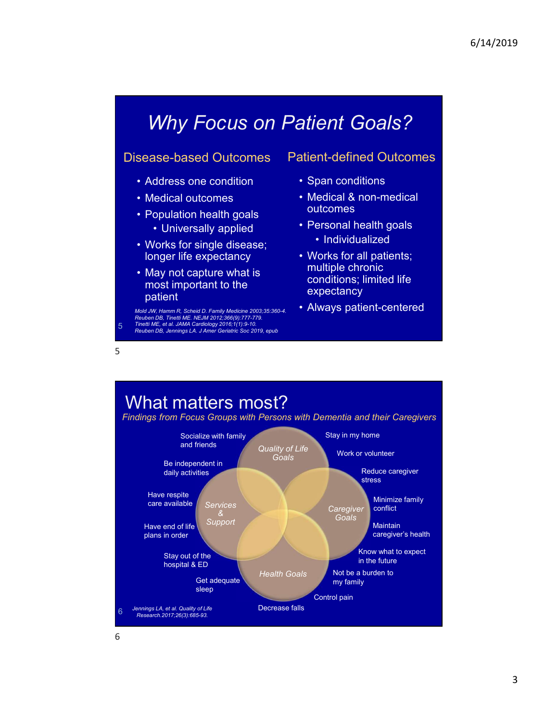# Why Focus on Patient Goals? Why Focus on Patient Goals?<br>
sease-based Outcomes Patient-defined Outcomes<br>
• Address one condition<br>
• Medical outcomes<br>
• Population health goals<br>
• Universally applied<br>
• Personal health goals<br>
• Personal health goals<br>
• Why Focus on Patient Goals?<br>
sease-based Outcomes Patient-defined Outcomes<br>
• Address one condition<br>
• Medical outcomes • Medical & non-medical<br>
• Population health goals<br>
• Universally applied • Personal health goals<br>
• M Why Focus on Patient Goals?<br>
sease-based Outcomes Patient-defined Outcomes<br>
• Address one condition<br>
• Medical a A non-medical<br>
• Population health goals<br>
• Universally applied<br>
• Works for all patients;<br>
• Mory not cantur Why Focus on Patient Goals?<br>
se-based Outcomes Patient-defined Outcomes<br>
ddress one condition Span conditions<br>
edical outcomes Medical & non-medical<br>
poulation health goals<br>
Corks for single disease;<br>
The spectancy Morks f

#### Disease-based Outcomes

- 
- 
- -
- longer life expectancy  **Works for all patients**;
- most important to the patient

 $5<sub>5</sub>$ 

5 Reuben DB, Tinetti ME. NEJM 2012;366(9):777-779. Tinetti ME, et al. JAMA Cardiology 2016;1(1):9-10.

#### Patient-defined Outcomes

- 
- 6/14/2019<br> **atient Goals?**<br>
atient-defined Outcomes<br>
 Span conditions<br>
 Medical & non-medical<br>
 Personal health goals<br>
 Individualized outcomes
- 9/14/2019<br>
 Mient Goals?<br>
 Medical & non-medical<br>
 Medical & non-medical<br>
 Mersonal health goals<br>
 Personal health goals<br>
 Morks for all natients:
- Why Focus on Patient Goals?<br>
sease-based Outcomes Patient-defined Outcomes<br>
 Address one condition<br>
 Medical ducomes<br>
 Medical & non-medical<br>
 Personal health goals<br>
 Universally applied<br>
 Works for single disease;<br> **Why Focus on Patient Goals?**<br>
sease-based Outcomes Patient-defined Outcomes<br>
• Address one condition<br>
• Medical autcomes<br>
• Medical & non-medical<br>
• Population health goals<br>
• Universally applied<br>
• Works for single dise †<br>
• Coals?<br>
• Span conditions<br>
• Span conditions<br>
• Medical & non-medical<br>
• Personal health goals<br>
• Personal health goals<br>
• Individualized<br>
• Works for all patients;<br>
• multiple chronic<br>
conditions; limited life 6/14/2019<br> **ent Goals?**<br>
ent-defined Outcomes<br>
pan conditions<br>
edical & non-medical<br>
atcomes<br>
ersonal health goals<br>
• Individualized<br>
/orks for all patients;<br>
utliple chronic<br>
unditions; limited life<br>
xpectancy †<br>
• Mient Goals?<br>
• Mient-defined Outcomes<br>
• Span conditions<br>
• Medical & non-medical<br>
• Untromes<br>
• Personal health goals<br>
• Minividualized<br>
• Works for all patients;<br>
multiple chronic<br>
conditions; limited life<br>
• expe multiple chronic conditions; limited life expectancy **Face Schools Server Alient Coals Server Alient**<br>• Span conditions<br>• Medical & non-medical<br>• Personal health goals<br>• Personal health goals<br>• Morks for all patients;<br>multiple chronic<br>conditions; limited life<br>expectancy<br>• Al **Why Focus on Patient Goals?**<br>
sease-based Outcomes Patient-defined Outcomes<br>
• Address one condition<br>
• Span conditions<br>
• Newstally applied<br>
• Diviersally applied<br>
• Works for single disease;<br>
• May not capture what is<br> **Why Focus on Patient Goals?**<br>
sease-based Outcomes Patient-defined Outcomes<br>
• Medical at on-medical<br>
• Population health goals<br>
• Medical & non-medical<br>
• Population health goals<br>
• Universally applied<br>
• Vorks for sing
	-

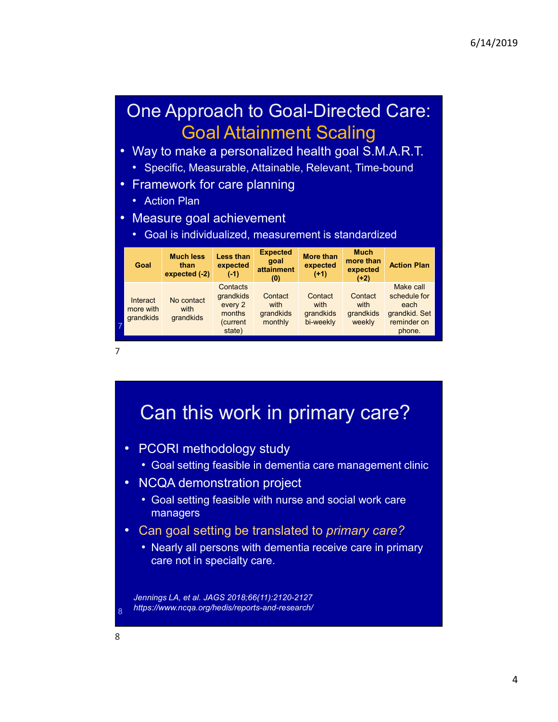#### One Approach to Goal-Directed Care: Goal Attainment Scaling

- Way to make a personalized health goal S.M.A.R.T. Specific, Measurable, Attainable, Relevant, Time-bound
	-
- Framework for care planning
	- Action Plan
- 
- Measure goal achievement Goal is individualized, measurement is standardized

| Goal                               | <b>Much less</b><br>than<br>expected (-2) | Less than<br>expected<br>$(-1)$                                  | <b>Expected</b><br>goal<br>attainment<br>(0) | <b>More than</b><br>expected<br>$(+1)$    | <b>Much</b><br>more than<br>expected<br>$(+2)$ | <b>Action Plan</b>                                                          |
|------------------------------------|-------------------------------------------|------------------------------------------------------------------|----------------------------------------------|-------------------------------------------|------------------------------------------------|-----------------------------------------------------------------------------|
| Interact<br>more with<br>grandkids | No contact<br>with<br>grandkids           | Contacts<br>grandkids<br>every 2<br>months<br>(current<br>state) | Contact<br>with<br>grandkids<br>monthly      | Contact<br>with<br>grandkids<br>bi-weekly | Contact<br>with<br>grandkids<br>weekly         | Make call<br>schedule for<br>each<br>grandkid. Set<br>reminder on<br>phone. |

7

# Can this work in primary care?<br>• PCORI methodology study • Goal setting feasible in dementia care management clinic • NCQA demonstration project • Goal setting feasible with nurse and social work care managers<br>• Can goal setting be translated to *primary care?* • Nearly all persons with dementia receive care in primary care not in specialty care. Jennings LA, et al. JAGS 2018;66(11):2120-2127 https://www.ncqa.org/hedis/reports-and-research/ <sup>8</sup> 8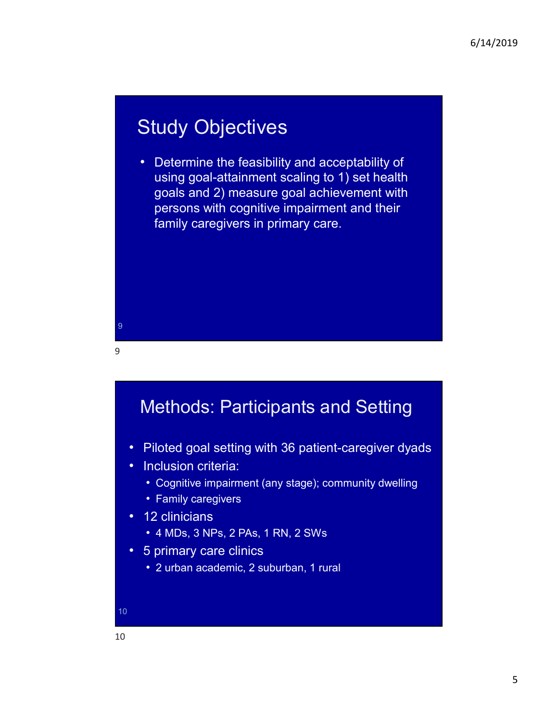#### Study Objectives

• Determine the feasibility and acceptability of using goal-attainment scaling to 1) set health goals and 2) measure goal achievement with persons with cognitive impairment and their family caregivers in primary care.

9

#### Methods: Participants and Setting

- Piloted goal setting with 36 patient-caregiver dyads
- 
- Inclusion criteria: Cognitive impairment (any stage); community dwelling
- Family caregivers 12 clinicians

9

- 
- 4 MDs, 3 NPs, 2 PAs, 1 RN, 2 SWs 5 primary care clinics
- - 2 urban academic, 2 suburban, 1 rural

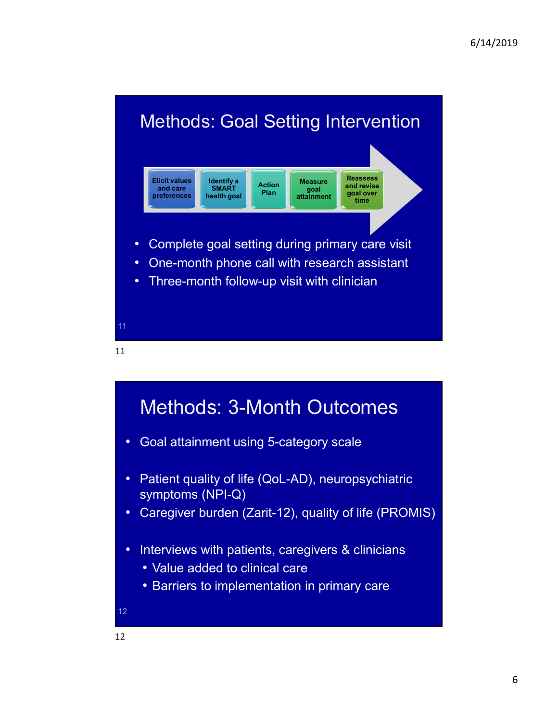

![](_page_5_Figure_2.jpeg)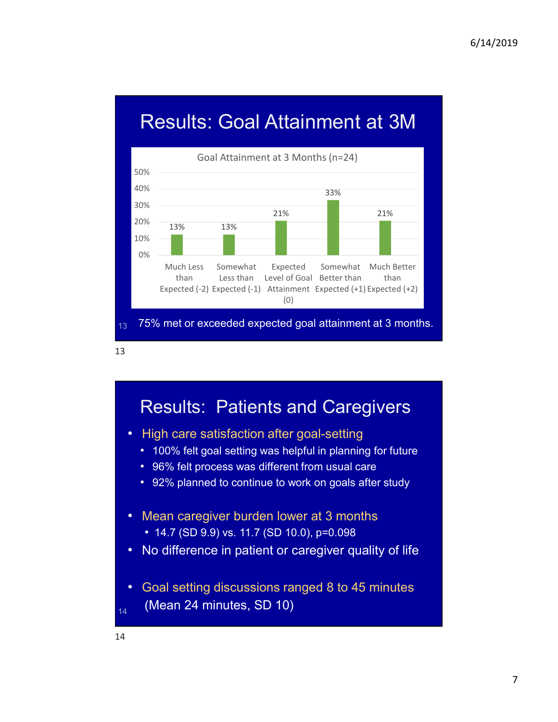### Results: Goal Attainment at 3M

![](_page_6_Figure_2.jpeg)

13

#### Results: Patients and Caregivers

- High care satisfaction after goal-setting
	- 100% felt goal setting was helpful in planning for future
	- 96% felt process was different from usual care
	- 92% planned to continue to work on goals after study
- Mean caregiver burden lower at 3 months
	-
- 14.7 (SD 9.9) vs. 11.7 (SD 10.0), p=0.098 No difference in patient or caregiver quality of life
- Goal setting discussions ranged 8 to 45 minutes
- $_{14}$  (Mean 24 minutes, SD 10)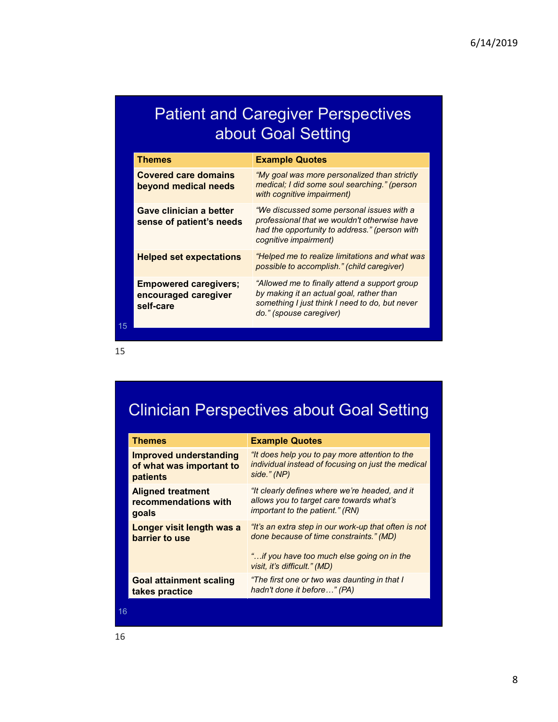#### Patient and Caregiver Perspectives about Goal Setting

|    |                                                                       |                                                                                                                                                                        | 6/14/2019 |
|----|-----------------------------------------------------------------------|------------------------------------------------------------------------------------------------------------------------------------------------------------------------|-----------|
|    |                                                                       |                                                                                                                                                                        |           |
|    |                                                                       | <b>Patient and Caregiver Perspectives</b><br>about Goal Setting                                                                                                        |           |
|    | <b>Themes</b>                                                         | <b>Example Quotes</b>                                                                                                                                                  |           |
|    | <b>Covered care domains</b><br>beyond medical needs                   | "My goal was more personalized than strictly<br>medical; I did some soul searching." (person<br>with cognitive impairment)                                             |           |
|    | Gave clinician a better<br>sense of patient's needs                   | "We discussed some personal issues with a<br>professional that we wouldn't otherwise have<br>had the opportunity to address." (person with<br>cognitive impairment)    |           |
|    | <b>Helped set expectations</b>                                        | "Helped me to realize limitations and what was<br>possible to accomplish." (child caregiver)                                                                           |           |
|    | <b>Empowered caregivers;</b><br>encouraged caregiver<br>self-care     | "Allowed me to finally attend a support group<br>by making it an actual goal, rather than<br>something I just think I need to do, but never<br>do." (spouse caregiver) |           |
| 15 |                                                                       |                                                                                                                                                                        |           |
| .5 |                                                                       |                                                                                                                                                                        |           |
|    |                                                                       | <b>Clinician Perspectives about Goal Setting</b>                                                                                                                       |           |
|    | Themes                                                                | <b>Example Quotes</b>                                                                                                                                                  |           |
|    | <b>Improved understanding</b><br>of what was important to<br>patients | "It does help you to pay more attention to the<br>individual instead of focusing on just the medical<br>side." (NP)                                                    |           |
|    | <b>Aligned treatment</b>                                              | "It clearly defines where we're headed, and it<br>$t$ araat aara taurarda urbat'a                                                                                      |           |

### Clinician Perspectives about Goal Setting

|    | self-care                                                             | something I just think I need to do, but never<br>do." (spouse caregiver)                                                     |
|----|-----------------------------------------------------------------------|-------------------------------------------------------------------------------------------------------------------------------|
| 15 |                                                                       |                                                                                                                               |
|    |                                                                       |                                                                                                                               |
|    |                                                                       |                                                                                                                               |
|    |                                                                       |                                                                                                                               |
|    |                                                                       | <b>Clinician Perspectives about Goal Setting</b>                                                                              |
|    |                                                                       |                                                                                                                               |
|    | <b>Themes</b>                                                         | <b>Example Quotes</b>                                                                                                         |
|    | <b>Improved understanding</b><br>of what was important to<br>patients | "It does help you to pay more attention to the<br>individual instead of focusing on just the medical<br>side." (NP)           |
|    | <b>Aligned treatment</b><br>recommendations with<br>goals             | "It clearly defines where we're headed, and it<br>allows you to target care towards what's<br>important to the patient." (RN) |
|    | Longer visit length was a<br>barrier to use                           | "It's an extra step in our work-up that often is not<br>done because of time constraints." (MD)                               |
|    |                                                                       | " if you have too much else going on in the<br>visit, it's difficult." (MD)                                                   |
|    | <b>Goal attainment scaling</b><br>takes practice                      | "The first one or two was daunting in that I<br>hadn't done it before" (PA)                                                   |
| 16 |                                                                       |                                                                                                                               |
|    |                                                                       |                                                                                                                               |
| .6 |                                                                       |                                                                                                                               |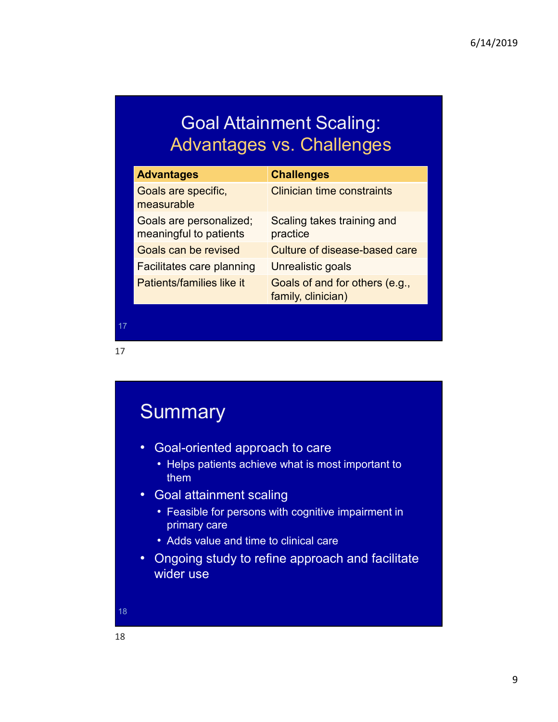#### Goal Attainment Scaling: Advantages vs. Challenges

|                                                        | <b>Goal Attainment Scaling:</b><br><b>Advantages vs. Challenges</b> |
|--------------------------------------------------------|---------------------------------------------------------------------|
| <b>Advantages</b><br>Goals are specific,<br>measurable | <b>Challenges</b><br><b>Clinician time constraints</b>              |
| Goals are personalized;<br>meaningful to patients      | Scaling takes training and<br>practice                              |
| Goals can be revised                                   | Culture of disease-based care                                       |
| Facilitates care planning                              | Unrealistic goals                                                   |
|                                                        | Goals of and for others (e.g.,                                      |

17 **17** *Alberta Communication* 

17

### **Summary** • Goal-oriented approach to care • Helps patients achieve what is most important to them the contract of the contract of the contract of the contract of the contract of the contract of the contract of the contract of the contract of the contract of the contract of the contract of the contract of the contr • Goal attainment scaling • Feasible for persons with cognitive impairment in primary care • Adds value and time to clinical care • Ongoing study to refine approach and facilitate wider use 18 18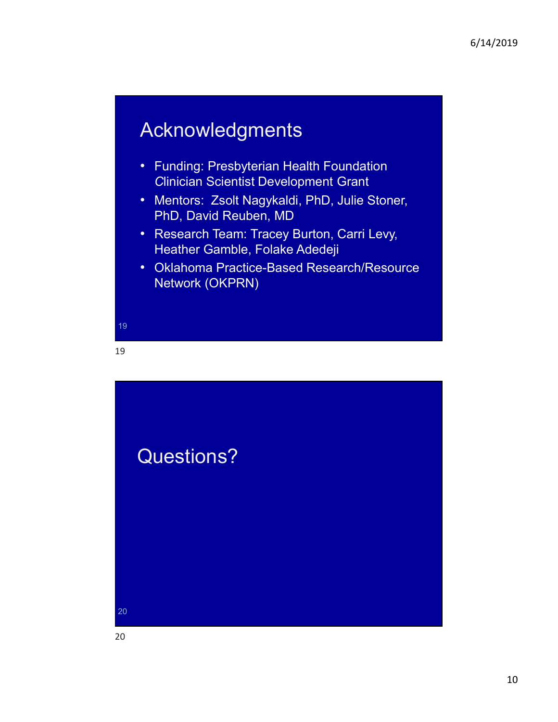### Acknowledgments

- Funding: Presbyterian Health Foundation Clinician Scientist Development Grant
- Mentors: Zsolt Nagykaldi, PhD, Julie Stoner, PhD, David Reuben, MD
- Research Team: Tracey Burton, Carri Levy,
- 6/14/2019<br>
Acknowledgments<br>
 Funding: Presbyterian Health Foundation<br>
 Mentors: Zsolt Nagykaldi, PhD, Julie Stoner,<br>
 PhD, David Reuben, MD<br>
 Research Team: Tracey Burton, Carri Levy,<br>
Heather Gamble, Folake Adedeji<br>
 Network (OKPRN)

19 **19 November 2014** 

19

![](_page_9_Picture_8.jpeg)